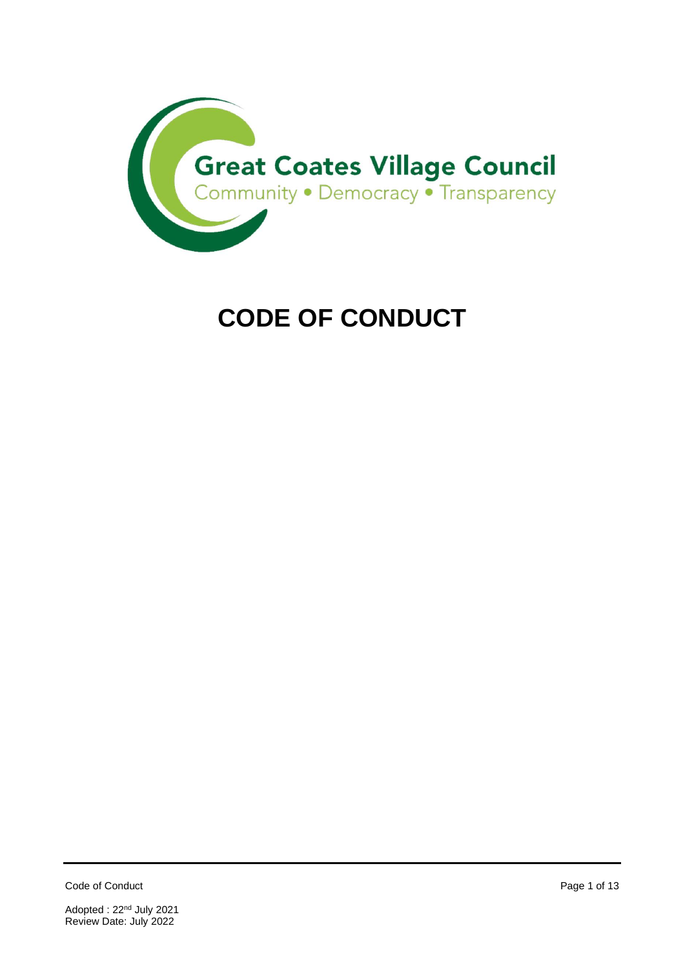

# **CODE OF CONDUCT**

Code of Conduct Page 1 of 13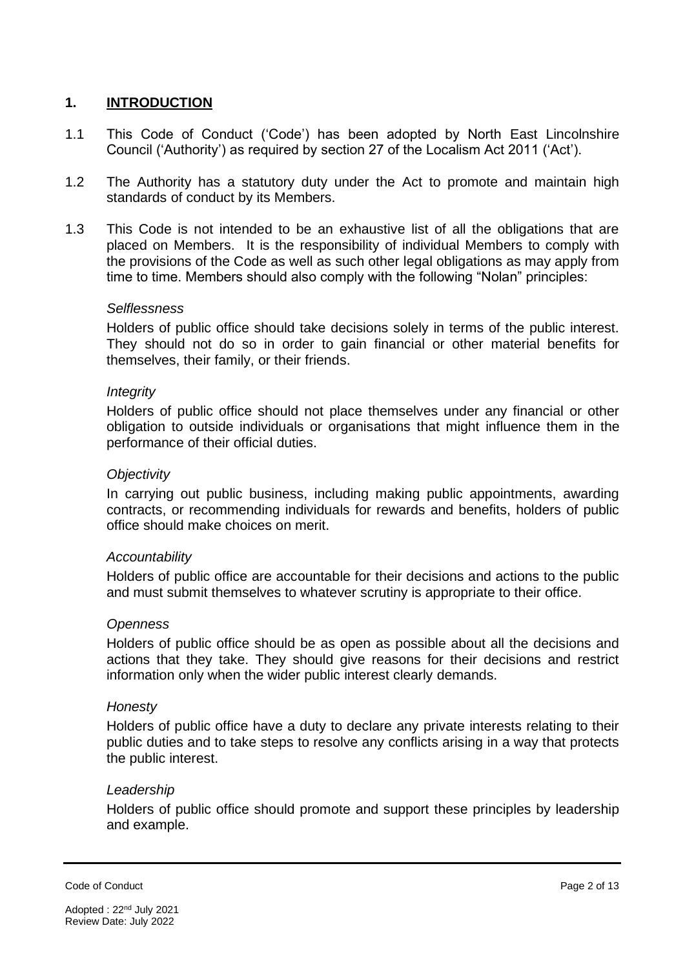### **1. INTRODUCTION**

- 1.1 This Code of Conduct ('Code') has been adopted by North East Lincolnshire Council ('Authority') as required by section 27 of the Localism Act 2011 ('Act').
- 1.2 The Authority has a statutory duty under the Act to promote and maintain high standards of conduct by its Members.
- 1.3 This Code is not intended to be an exhaustive list of all the obligations that are placed on Members. It is the responsibility of individual Members to comply with the provisions of the Code as well as such other legal obligations as may apply from time to time. Members should also comply with the following "Nolan" principles:

#### *Selflessness*

Holders of public office should take decisions solely in terms of the public interest. They should not do so in order to gain financial or other material benefits for themselves, their family, or their friends.

#### *Integrity*

Holders of public office should not place themselves under any financial or other obligation to outside individuals or organisations that might influence them in the performance of their official duties.

#### *Objectivity*

In carrying out public business, including making public appointments, awarding contracts, or recommending individuals for rewards and benefits, holders of public office should make choices on merit.

#### *Accountability*

Holders of public office are accountable for their decisions and actions to the public and must submit themselves to whatever scrutiny is appropriate to their office.

#### *Openness*

Holders of public office should be as open as possible about all the decisions and actions that they take. They should give reasons for their decisions and restrict information only when the wider public interest clearly demands.

#### *Honesty*

Holders of public office have a duty to declare any private interests relating to their public duties and to take steps to resolve any conflicts arising in a way that protects the public interest.

#### *Leadership*

Holders of public office should promote and support these principles by leadership and example.

Code of Conduct Page 2 of 13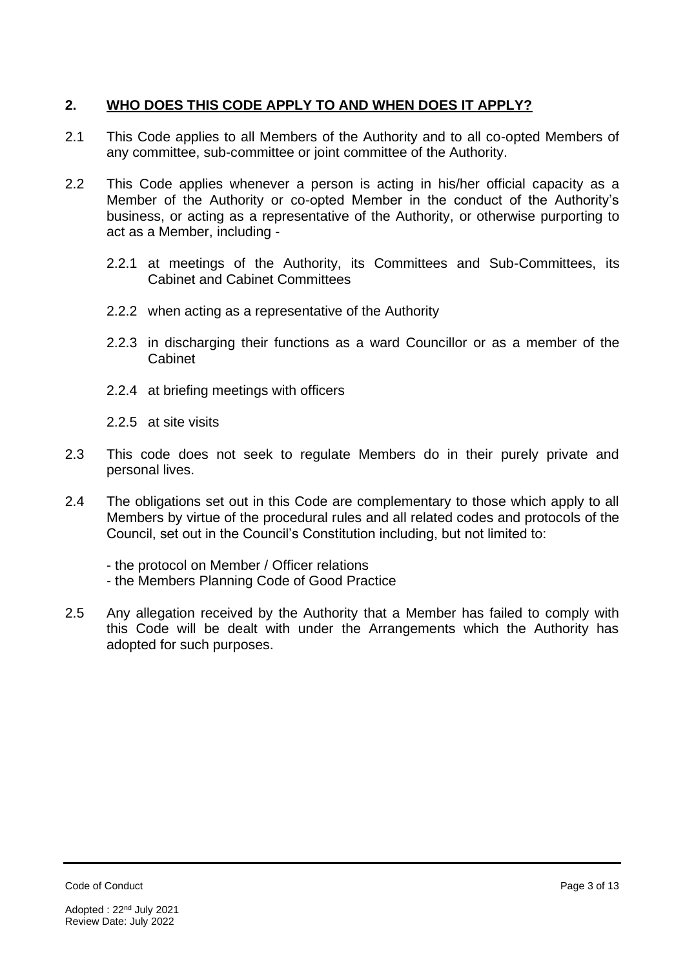# **2. WHO DOES THIS CODE APPLY TO AND WHEN DOES IT APPLY?**

- 2.1 This Code applies to all Members of the Authority and to all co-opted Members of any committee, sub-committee or joint committee of the Authority.
- 2.2 This Code applies whenever a person is acting in his/her official capacity as a Member of the Authority or co-opted Member in the conduct of the Authority's business, or acting as a representative of the Authority, or otherwise purporting to act as a Member, including -
	- 2.2.1 at meetings of the Authority, its Committees and Sub-Committees, its Cabinet and Cabinet Committees
	- 2.2.2 when acting as a representative of the Authority
	- 2.2.3 in discharging their functions as a ward Councillor or as a member of the Cabinet
	- 2.2.4 at briefing meetings with officers
	- 2.2.5 at site visits
- 2.3 This code does not seek to regulate Members do in their purely private and personal lives.
- 2.4 The obligations set out in this Code are complementary to those which apply to all Members by virtue of the procedural rules and all related codes and protocols of the Council, set out in the Council's Constitution including, but not limited to:
	- the protocol on Member / Officer relations
	- the Members Planning Code of Good Practice
- 2.5 Any allegation received by the Authority that a Member has failed to comply with this Code will be dealt with under the Arrangements which the Authority has adopted for such purposes.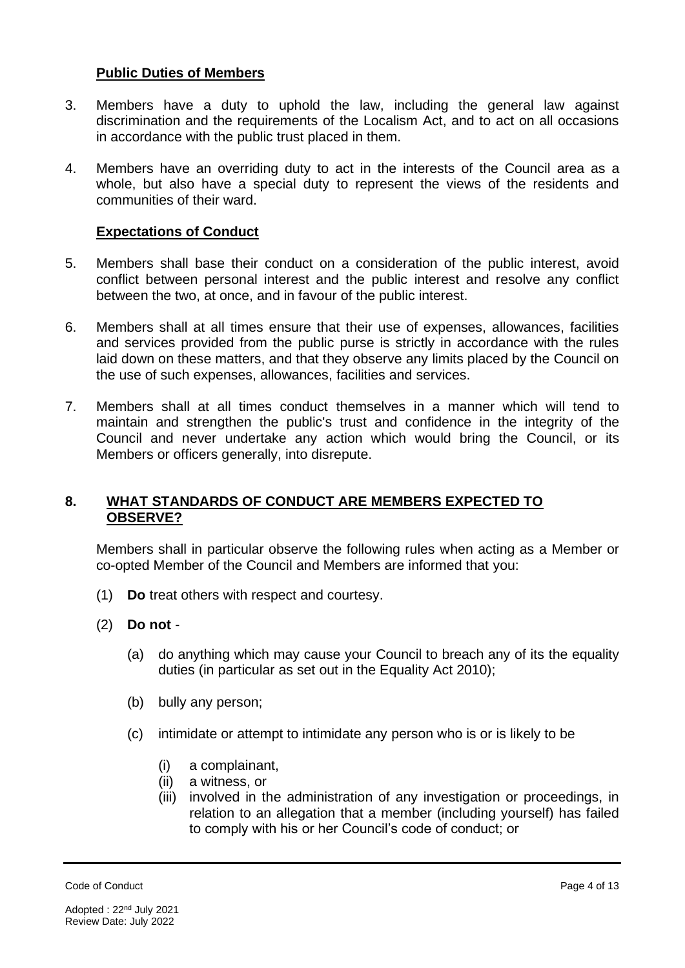#### **Public Duties of Members**

- 3. Members have a duty to uphold the law, including the general law against discrimination and the requirements of the Localism Act, and to act on all occasions in accordance with the public trust placed in them.
- 4. Members have an overriding duty to act in the interests of the Council area as a whole, but also have a special duty to represent the views of the residents and communities of their ward.

### **Expectations of Conduct**

- 5. Members shall base their conduct on a consideration of the public interest, avoid conflict between personal interest and the public interest and resolve any conflict between the two, at once, and in favour of the public interest.
- 6. Members shall at all times ensure that their use of expenses, allowances, facilities and services provided from the public purse is strictly in accordance with the rules laid down on these matters, and that they observe any limits placed by the Council on the use of such expenses, allowances, facilities and services.
- 7. Members shall at all times conduct themselves in a manner which will tend to maintain and strengthen the public's trust and confidence in the integrity of the Council and never undertake any action which would bring the Council, or its Members or officers generally, into disrepute.

### **8. WHAT STANDARDS OF CONDUCT ARE MEMBERS EXPECTED TO OBSERVE?**

Members shall in particular observe the following rules when acting as a Member or co-opted Member of the Council and Members are informed that you:

- (1) **Do** treat others with respect and courtesy.
- (2) **Do not** 
	- (a) do anything which may cause your Council to breach any of its the equality duties (in particular as set out in the Equality Act 2010);
	- (b) bully any person;
	- (c) intimidate or attempt to intimidate any person who is or is likely to be
		- (i) a complainant,
		- (ii) a witness, or
		- (iii) involved in the administration of any investigation or proceedings, in relation to an allegation that a member (including yourself) has failed to comply with his or her Council's code of conduct; or

```
Code of Conduct Page 4 of 13
```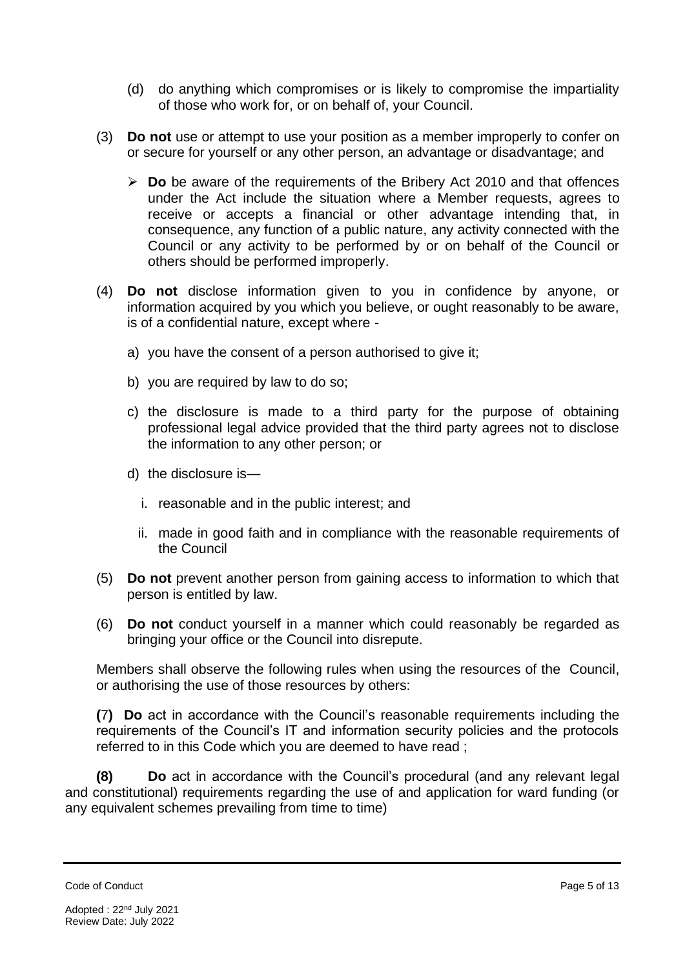- (d) do anything which compromises or is likely to compromise the impartiality of those who work for, or on behalf of, your Council.
- (3) **Do not** use or attempt to use your position as a member improperly to confer on or secure for yourself or any other person, an advantage or disadvantage; and
	- ➢ **Do** be aware of the requirements of the Bribery Act 2010 and that offences under the Act include the situation where a Member requests, agrees to receive or accepts a financial or other advantage intending that, in consequence, any function of a public nature, any activity connected with the Council or any activity to be performed by or on behalf of the Council or others should be performed improperly.
- (4) **Do not** disclose information given to you in confidence by anyone, or information acquired by you which you believe, or ought reasonably to be aware, is of a confidential nature, except where
	- a) you have the consent of a person authorised to give it;
	- b) you are required by law to do so;
	- c) the disclosure is made to a third party for the purpose of obtaining professional legal advice provided that the third party agrees not to disclose the information to any other person; or
	- d) the disclosure is
		- i. reasonable and in the public interest; and
		- ii. made in good faith and in compliance with the reasonable requirements of the Council
- (5) **Do not** prevent another person from gaining access to information to which that person is entitled by law.
- (6) **Do not** conduct yourself in a manner which could reasonably be regarded as bringing your office or the Council into disrepute.

Members shall observe the following rules when using the resources of the Council, or authorising the use of those resources by others:

**(**7**) Do** act in accordance with the Council's reasonable requirements including the requirements of the Council's IT and information security policies and the protocols referred to in this Code which you are deemed to have read ;

**(8) Do** act in accordance with the Council's procedural (and any relevant legal and constitutional) requirements regarding the use of and application for ward funding (or any equivalent schemes prevailing from time to time)

Code of Conduct Page 5 of 13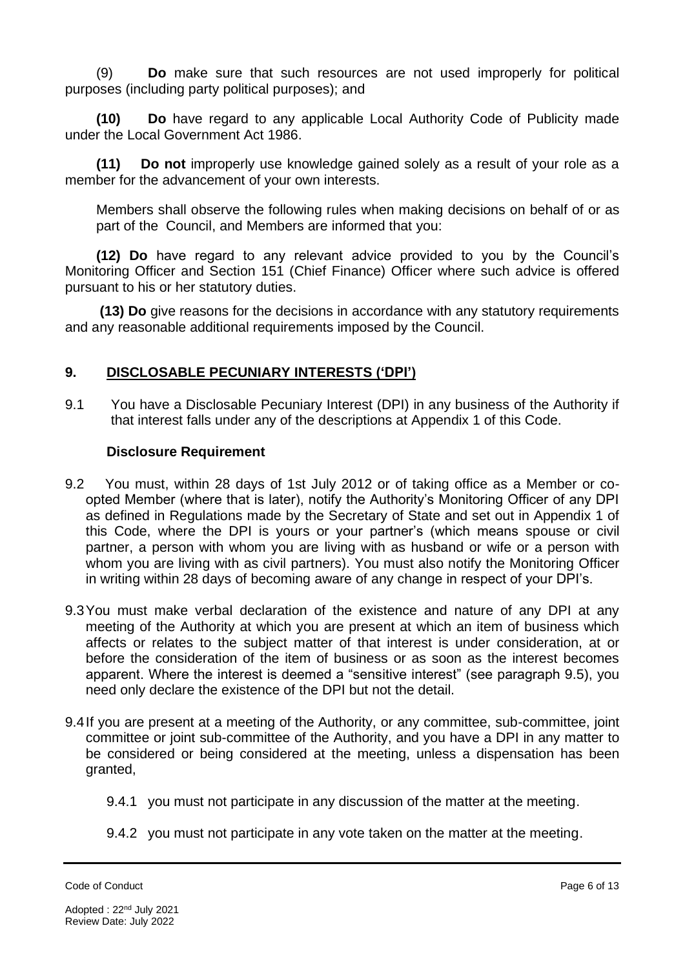(9) **Do** make sure that such resources are not used improperly for political purposes (including party political purposes); and

**(10) Do** have regard to any applicable Local Authority Code of Publicity made under the Local Government Act 1986.

**(11) Do not** improperly use knowledge gained solely as a result of your role as a member for the advancement of your own interests.

Members shall observe the following rules when making decisions on behalf of or as part of the Council, and Members are informed that you:

**(12) Do** have regard to any relevant advice provided to you by the Council's Monitoring Officer and Section 151 (Chief Finance) Officer where such advice is offered pursuant to his or her statutory duties.

 **(13) Do** give reasons for the decisions in accordance with any statutory requirements and any reasonable additional requirements imposed by the Council.

# **9. DISCLOSABLE PECUNIARY INTERESTS ('DPI')**

9.1 You have a Disclosable Pecuniary Interest (DPI) in any business of the Authority if that interest falls under any of the descriptions at Appendix 1 of this Code.

#### **Disclosure Requirement**

- 9.2 You must, within 28 days of 1st July 2012 or of taking office as a Member or coopted Member (where that is later), notify the Authority's Monitoring Officer of any DPI as defined in Regulations made by the Secretary of State and set out in Appendix 1 of this Code, where the DPI is yours or your partner's (which means spouse or civil partner, a person with whom you are living with as husband or wife or a person with whom you are living with as civil partners). You must also notify the Monitoring Officer in writing within 28 days of becoming aware of any change in respect of your DPI's.
- 9.3You must make verbal declaration of the existence and nature of any DPI at any meeting of the Authority at which you are present at which an item of business which affects or relates to the subject matter of that interest is under consideration, at or before the consideration of the item of business or as soon as the interest becomes apparent. Where the interest is deemed a "sensitive interest" (see paragraph 9.5), you need only declare the existence of the DPI but not the detail.
- 9.4If you are present at a meeting of the Authority, or any committee, sub-committee, joint committee or joint sub-committee of the Authority, and you have a DPI in any matter to be considered or being considered at the meeting, unless a dispensation has been granted,
	- 9.4.1 you must not participate in any discussion of the matter at the meeting.
	- 9.4.2 you must not participate in any vote taken on the matter at the meeting.

Code of Conduct Page 6 of 13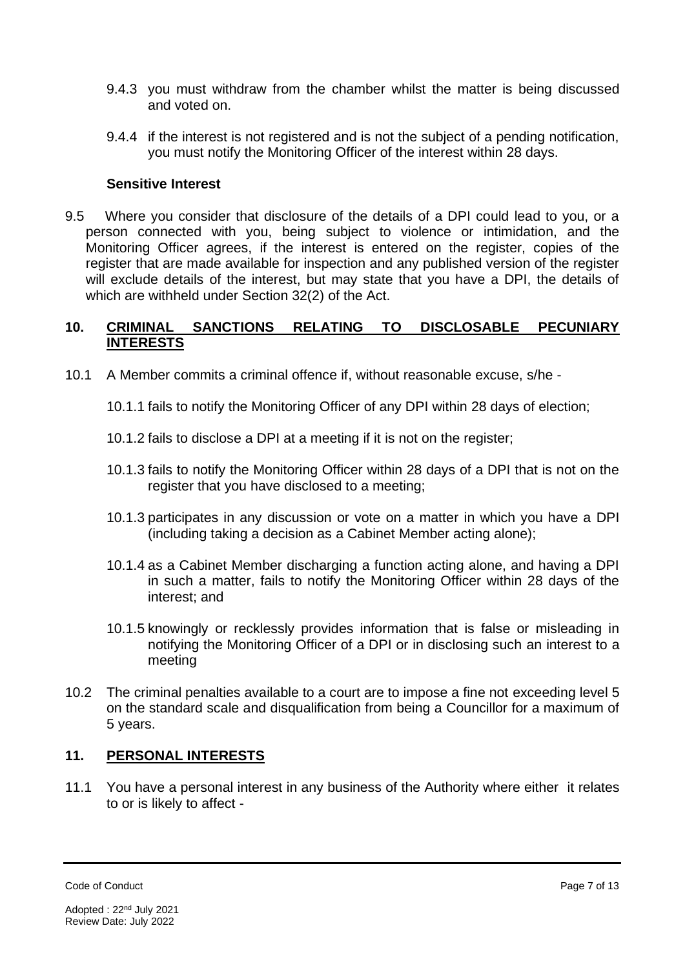- 9.4.3 you must withdraw from the chamber whilst the matter is being discussed and voted on.
- 9.4.4 if the interest is not registered and is not the subject of a pending notification, you must notify the Monitoring Officer of the interest within 28 days.

#### **Sensitive Interest**

9.5 Where you consider that disclosure of the details of a DPI could lead to you, or a person connected with you, being subject to violence or intimidation, and the Monitoring Officer agrees, if the interest is entered on the register, copies of the register that are made available for inspection and any published version of the register will exclude details of the interest, but may state that you have a DPI, the details of which are withheld under Section 32(2) of the Act.

## **10. CRIMINAL SANCTIONS RELATING TO DISCLOSABLE PECUNIARY INTERESTS**

- 10.1 A Member commits a criminal offence if, without reasonable excuse, s/he
	- 10.1.1 fails to notify the Monitoring Officer of any DPI within 28 days of election;
	- 10.1.2 fails to disclose a DPI at a meeting if it is not on the register;
	- 10.1.3 fails to notify the Monitoring Officer within 28 days of a DPI that is not on the register that you have disclosed to a meeting;
	- 10.1.3 participates in any discussion or vote on a matter in which you have a DPI (including taking a decision as a Cabinet Member acting alone);
	- 10.1.4 as a Cabinet Member discharging a function acting alone, and having a DPI in such a matter, fails to notify the Monitoring Officer within 28 days of the interest; and
	- 10.1.5 knowingly or recklessly provides information that is false or misleading in notifying the Monitoring Officer of a DPI or in disclosing such an interest to a meeting
- 10.2 The criminal penalties available to a court are to impose a fine not exceeding level 5 on the standard scale and disqualification from being a Councillor for a maximum of 5 years.

# **11. PERSONAL INTERESTS**

11.1 You have a personal interest in any business of the Authority where either it relates to or is likely to affect -

Code of Conduct Page 7 of 13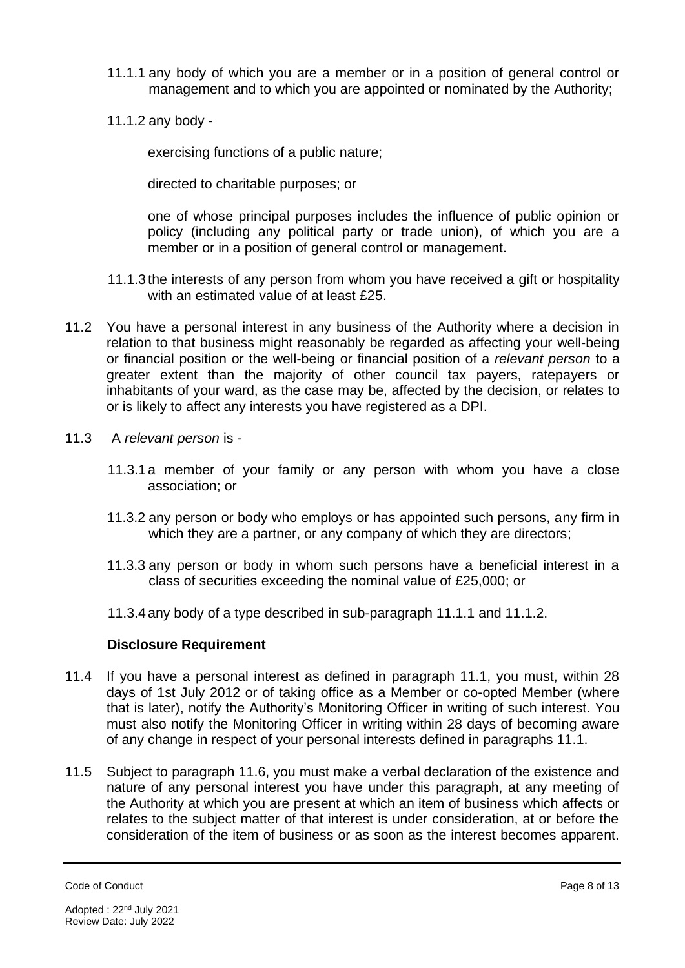- 11.1.1 any body of which you are a member or in a position of general control or management and to which you are appointed or nominated by the Authority;
- 11.1.2 any body -

exercising functions of a public nature;

directed to charitable purposes; or

one of whose principal purposes includes the influence of public opinion or policy (including any political party or trade union), of which you are a member or in a position of general control or management.

- 11.1.3 the interests of any person from whom you have received a gift or hospitality with an estimated value of at least £25.
- 11.2 You have a personal interest in any business of the Authority where a decision in relation to that business might reasonably be regarded as affecting your well-being or financial position or the well-being or financial position of a *relevant person* to a greater extent than the majority of other council tax payers, ratepayers or inhabitants of your ward, as the case may be, affected by the decision, or relates to or is likely to affect any interests you have registered as a DPI.
- 11.3 A *relevant person* is
	- 11.3.1 a member of your family or any person with whom you have a close association; or
	- 11.3.2 any person or body who employs or has appointed such persons, any firm in which they are a partner, or any company of which they are directors;
	- 11.3.3 any person or body in whom such persons have a beneficial interest in a class of securities exceeding the nominal value of £25,000; or
	- 11.3.4 any body of a type described in sub-paragraph 11.1.1 and 11.1.2.

### **Disclosure Requirement**

- 11.4 If you have a personal interest as defined in paragraph 11.1, you must, within 28 days of 1st July 2012 or of taking office as a Member or co-opted Member (where that is later), notify the Authority's Monitoring Officer in writing of such interest. You must also notify the Monitoring Officer in writing within 28 days of becoming aware of any change in respect of your personal interests defined in paragraphs 11.1.
- 11.5 Subject to paragraph 11.6, you must make a verbal declaration of the existence and nature of any personal interest you have under this paragraph, at any meeting of the Authority at which you are present at which an item of business which affects or relates to the subject matter of that interest is under consideration, at or before the consideration of the item of business or as soon as the interest becomes apparent.

Code of Conduct Page 8 of 13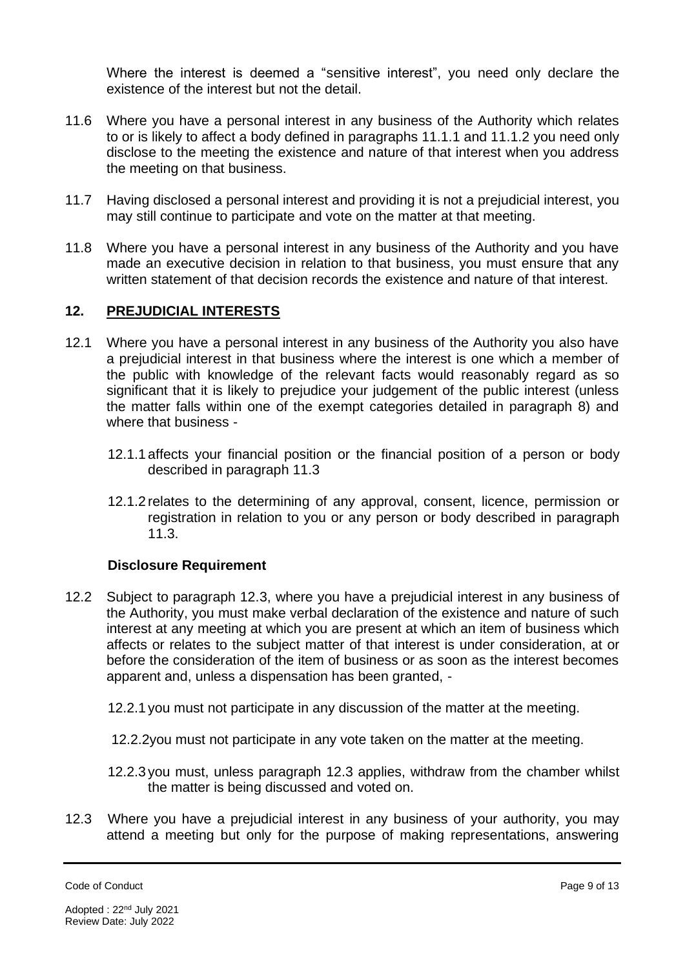Where the interest is deemed a "sensitive interest", you need only declare the existence of the interest but not the detail.

- 11.6 Where you have a personal interest in any business of the Authority which relates to or is likely to affect a body defined in paragraphs 11.1.1 and 11.1.2 you need only disclose to the meeting the existence and nature of that interest when you address the meeting on that business.
- 11.7 Having disclosed a personal interest and providing it is not a prejudicial interest, you may still continue to participate and vote on the matter at that meeting.
- 11.8 Where you have a personal interest in any business of the Authority and you have made an executive decision in relation to that business, you must ensure that any written statement of that decision records the existence and nature of that interest.

### **12. PREJUDICIAL INTERESTS**

- 12.1 Where you have a personal interest in any business of the Authority you also have a prejudicial interest in that business where the interest is one which a member of the public with knowledge of the relevant facts would reasonably regard as so significant that it is likely to prejudice your judgement of the public interest (unless the matter falls within one of the exempt categories detailed in paragraph 8) and where that business -
	- 12.1.1 affects your financial position or the financial position of a person or body described in paragraph 11.3
	- 12.1.2 relates to the determining of any approval, consent, licence, permission or registration in relation to you or any person or body described in paragraph 11.3.

### **Disclosure Requirement**

- 12.2 Subject to paragraph 12.3, where you have a prejudicial interest in any business of the Authority, you must make verbal declaration of the existence and nature of such interest at any meeting at which you are present at which an item of business which affects or relates to the subject matter of that interest is under consideration, at or before the consideration of the item of business or as soon as the interest becomes apparent and, unless a dispensation has been granted, -
	- 12.2.1 you must not participate in any discussion of the matter at the meeting.
	- 12.2.2you must not participate in any vote taken on the matter at the meeting.
	- 12.2.3 you must, unless paragraph 12.3 applies, withdraw from the chamber whilst the matter is being discussed and voted on.
- 12.3 Where you have a prejudicial interest in any business of your authority, you may attend a meeting but only for the purpose of making representations, answering

Code of Conduct Page 9 of 13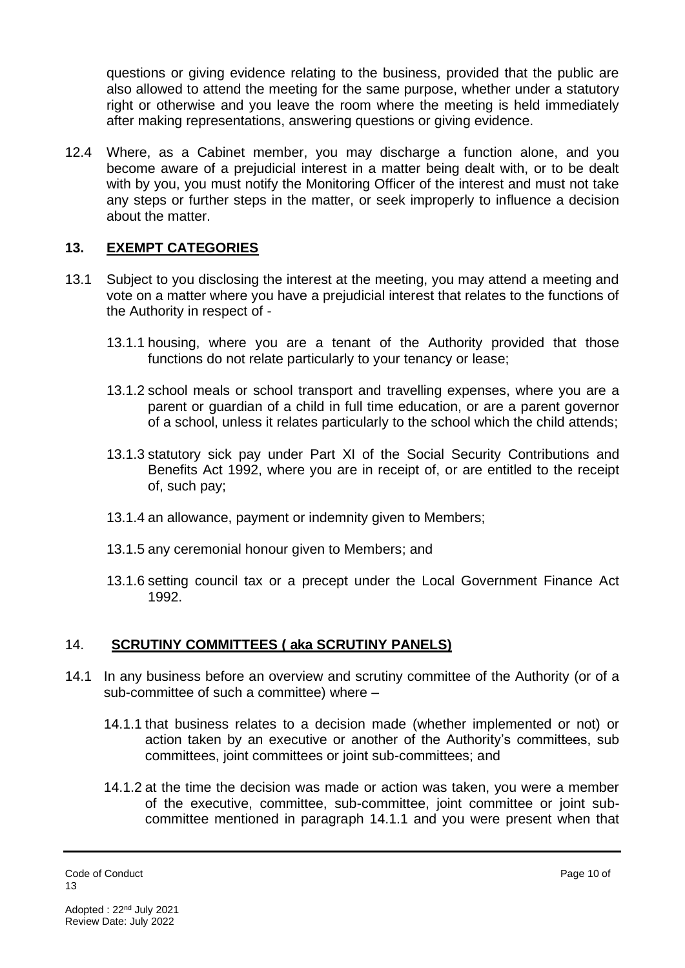questions or giving evidence relating to the business, provided that the public are also allowed to attend the meeting for the same purpose, whether under a statutory right or otherwise and you leave the room where the meeting is held immediately after making representations, answering questions or giving evidence.

12.4 Where, as a Cabinet member, you may discharge a function alone, and you become aware of a prejudicial interest in a matter being dealt with, or to be dealt with by you, you must notify the Monitoring Officer of the interest and must not take any steps or further steps in the matter, or seek improperly to influence a decision about the matter.

# **13. EXEMPT CATEGORIES**

- 13.1 Subject to you disclosing the interest at the meeting, you may attend a meeting and vote on a matter where you have a prejudicial interest that relates to the functions of the Authority in respect of -
	- 13.1.1 housing, where you are a tenant of the Authority provided that those functions do not relate particularly to your tenancy or lease;
	- 13.1.2 school meals or school transport and travelling expenses, where you are a parent or guardian of a child in full time education, or are a parent governor of a school, unless it relates particularly to the school which the child attends;
	- 13.1.3 statutory sick pay under Part XI of the Social Security Contributions and Benefits Act 1992, where you are in receipt of, or are entitled to the receipt of, such pay;
	- 13.1.4 an allowance, payment or indemnity given to Members;
	- 13.1.5 any ceremonial honour given to Members; and
	- 13.1.6 setting council tax or a precept under the Local Government Finance Act 1992.

# 14. **SCRUTINY COMMITTEES ( aka SCRUTINY PANELS)**

- 14.1 In any business before an overview and scrutiny committee of the Authority (or of a sub-committee of such a committee) where –
	- 14.1.1 that business relates to a decision made (whether implemented or not) or action taken by an executive or another of the Authority's committees, sub committees, joint committees or joint sub-committees; and
	- 14.1.2 at the time the decision was made or action was taken, you were a member of the executive, committee, sub-committee, joint committee or joint subcommittee mentioned in paragraph 14.1.1 and you were present when that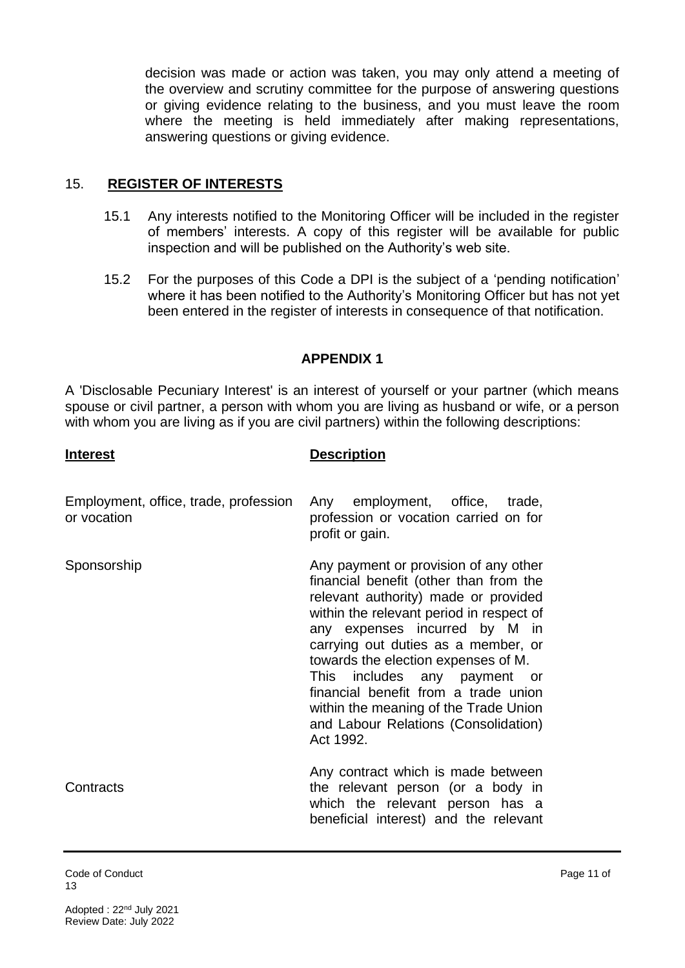decision was made or action was taken, you may only attend a meeting of the overview and scrutiny committee for the purpose of answering questions or giving evidence relating to the business, and you must leave the room where the meeting is held immediately after making representations, answering questions or giving evidence.

# 15. **REGISTER OF INTERESTS**

- 15.1 Any interests notified to the Monitoring Officer will be included in the register of members' interests. A copy of this register will be available for public inspection and will be published on the Authority's web site.
- 15.2 For the purposes of this Code a DPI is the subject of a 'pending notification' where it has been notified to the Authority's Monitoring Officer but has not yet been entered in the register of interests in consequence of that notification.

# **APPENDIX 1**

A 'Disclosable Pecuniary Interest' is an interest of yourself or your partner (which means spouse or civil partner, a person with whom you are living as husband or wife, or a person with whom you are living as if you are civil partners) within the following descriptions:

### **Interest Description**

| Employment, office, trade, profession<br>or vocation | Any employment, office,<br>trade,<br>profession or vocation carried on for<br>profit or gain.                                                                                                                                                                                                                                                                                                                                                            |
|------------------------------------------------------|----------------------------------------------------------------------------------------------------------------------------------------------------------------------------------------------------------------------------------------------------------------------------------------------------------------------------------------------------------------------------------------------------------------------------------------------------------|
| Sponsorship                                          | Any payment or provision of any other<br>financial benefit (other than from the<br>relevant authority) made or provided<br>within the relevant period in respect of<br>any expenses incurred by M in<br>carrying out duties as a member, or<br>towards the election expenses of M.<br>This includes any payment or<br>financial benefit from a trade union<br>within the meaning of the Trade Union<br>and Labour Relations (Consolidation)<br>Act 1992. |
| Contracts                                            | Any contract which is made between<br>the relevant person (or a body in<br>which the relevant person has a<br>beneficial interest) and the relevant                                                                                                                                                                                                                                                                                                      |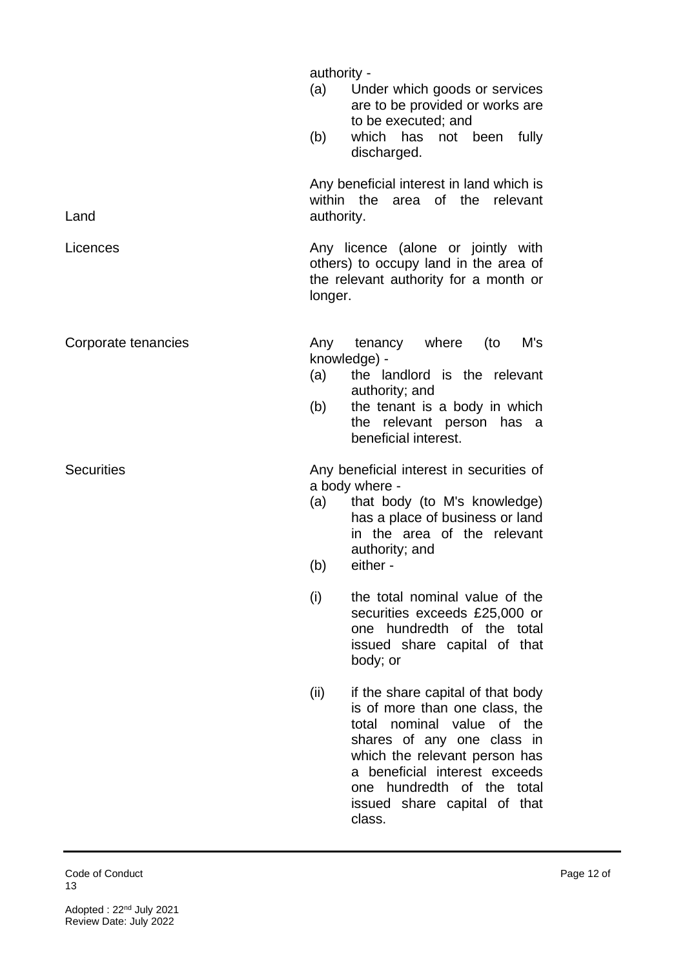|                     | authority -<br>(a)<br>Under which goods or services<br>are to be provided or works are<br>to be executed; and<br>(b)<br>which has<br>not been<br>fully<br>discharged.                                                                                                                |
|---------------------|--------------------------------------------------------------------------------------------------------------------------------------------------------------------------------------------------------------------------------------------------------------------------------------|
| Land                | Any beneficial interest in land which is<br>within the<br>area of<br>the relevant<br>authority.                                                                                                                                                                                      |
| Licences            | Any licence (alone or jointly with<br>others) to occupy land in the area of<br>the relevant authority for a month or<br>longer.                                                                                                                                                      |
| Corporate tenancies | M's<br>Any tenancy<br>where<br>(to<br>knowledge) -<br>the landlord is the relevant<br>(a)<br>authority; and<br>(b)<br>the tenant is a body in which<br>the relevant person has a<br>beneficial interest.                                                                             |
| <b>Securities</b>   | Any beneficial interest in securities of<br>a body where -<br>that body (to M's knowledge)<br>(a)<br>has a place of business or land<br>in the area of the relevant<br>authority; and<br>either -<br>(b)                                                                             |
|                     | the total nominal value of the<br>(i)<br>securities exceeds £25,000 or<br>one hundredth of the total<br>issued share capital of that<br>body; or                                                                                                                                     |
|                     | (ii)<br>if the share capital of that body<br>is of more than one class, the<br>total nominal value of the<br>shares of any one class in<br>which the relevant person has<br>a beneficial interest exceeds<br>hundredth of the total<br>one<br>issued share capital of that<br>class. |